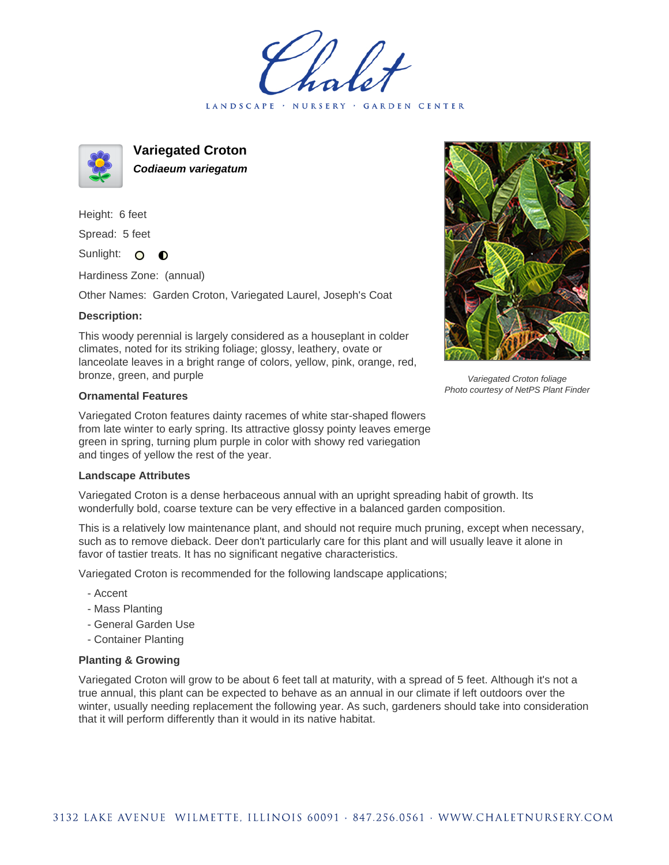LANDSCAPE · NURSERY · GARDEN CENTER



**Variegated Croton Codiaeum variegatum**

Height: 6 feet Spread: 5 feet

Sunlight: O  $\bullet$ 

Hardiness Zone: (annual)

Other Names: Garden Croton, Variegated Laurel, Joseph's Coat

## **Description:**

This woody perennial is largely considered as a houseplant in colder climates, noted for its striking foliage; glossy, leathery, ovate or lanceolate leaves in a bright range of colors, yellow, pink, orange, red, bronze, green, and purple

## **Ornamental Features**

Variegated Croton features dainty racemes of white star-shaped flowers from late winter to early spring. Its attractive glossy pointy leaves emerge green in spring, turning plum purple in color with showy red variegation and tinges of yellow the rest of the year.

## **Landscape Attributes**

Variegated Croton is a dense herbaceous annual with an upright spreading habit of growth. Its wonderfully bold, coarse texture can be very effective in a balanced garden composition.

This is a relatively low maintenance plant, and should not require much pruning, except when necessary, such as to remove dieback. Deer don't particularly care for this plant and will usually leave it alone in favor of tastier treats. It has no significant negative characteristics.

Variegated Croton is recommended for the following landscape applications;

- Accent
- Mass Planting
- General Garden Use
- Container Planting

## **Planting & Growing**

Variegated Croton will grow to be about 6 feet tall at maturity, with a spread of 5 feet. Although it's not a true annual, this plant can be expected to behave as an annual in our climate if left outdoors over the winter, usually needing replacement the following year. As such, gardeners should take into consideration that it will perform differently than it would in its native habitat.



Variegated Croton foliage Photo courtesy of NetPS Plant Finder